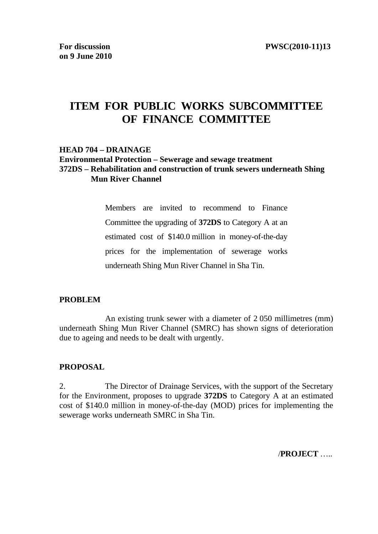# **ITEM FOR PUBLIC WORKS SUBCOMMITTEE OF FINANCE COMMITTEE**

#### **HEAD 704 – DRAINAGE**

#### **Environmental Protection – Sewerage and sewage treatment 372DS – Rehabilitation and construction of trunk sewers underneath Shing Mun River Channel**

Members are invited to recommend to Finance Committee the upgrading of **372DS** to Category A at an estimated cost of \$140.0 million in money-of-the-day prices for the implementation of sewerage works underneath Shing Mun River Channel in Sha Tin.

#### **PROBLEM**

 An existing trunk sewer with a diameter of 2 050 millimetres (mm) underneath Shing Mun River Channel (SMRC) has shown signs of deterioration due to ageing and needs to be dealt with urgently.

#### **PROPOSAL**

2. The Director of Drainage Services, with the support of the Secretary for the Environment, proposes to upgrade **372DS** to Category A at an estimated cost of \$140.0 million in money-of-the-day (MOD) prices for implementing the sewerage works underneath SMRC in Sha Tin.

/**PROJECT** …..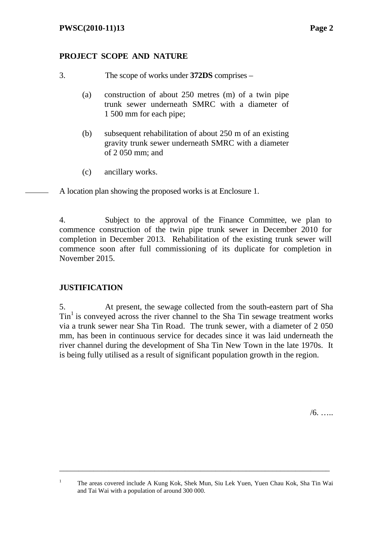## **PROJECT SCOPE AND NATURE**

- (a) construction of about 250 metres (m) of a twin pipe trunk sewer underneath SMRC with a diameter of 1 500 mm for each pipe;
- (b) subsequent rehabilitation of about 250 m of an existing gravity trunk sewer underneath SMRC with a diameter of 2 050 mm; and
- (c) ancillary works.

A location plan showing the proposed works is at Enclosure 1.

4. Subject to the approval of the Finance Committee, we plan to commence construction of the twin pipe trunk sewer in December 2010 for completion in December 2013. Rehabilitation of the existing trunk sewer will commence soon after full commissioning of its duplicate for completion in November 2015.

## **JUSTIFICATION**

1

5. At present, the sewage collected from the south-eastern part of Sha  $\text{Tin}^1$  is conveyed across the river channel to the Sha Tin sewage treatment works via a trunk sewer near Sha Tin Road. The trunk sewer, with a diameter of 2-050 mm, has been in continuous service for decades since it was laid underneath the river channel during the development of Sha Tin New Town in the late 1970s. It is being fully utilised as a result of significant population growth in the region.

 $/6.$  …

<sup>3.</sup> The scope of works under **372DS** comprises –

The areas covered include A Kung Kok, Shek Mun, Siu Lek Yuen, Yuen Chau Kok, Sha Tin Wai and Tai Wai with a population of around 300 000.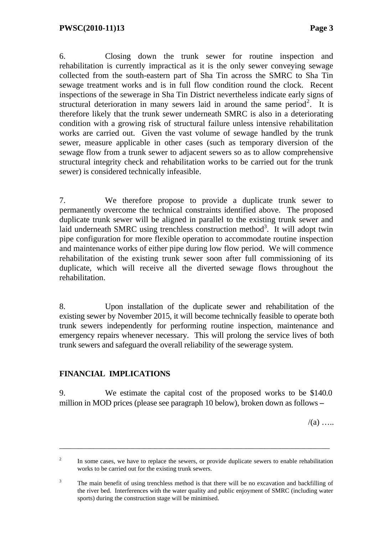6. Closing down the trunk sewer for routine inspection and rehabilitation is currently impractical as it is the only sewer conveying sewage collected from the south-eastern part of Sha Tin across the SMRC to Sha Tin sewage treatment works and is in full flow condition round the clock. Recent inspections of the sewerage in Sha Tin District nevertheless indicate early signs of structural deterioration in many sewers laid in around the same period<sup>2</sup>. It is therefore likely that the trunk sewer underneath SMRC is also in a deteriorating condition with a growing risk of structural failure unless intensive rehabilitation works are carried out. Given the vast volume of sewage handled by the trunk sewer, measure applicable in other cases (such as temporary diversion of the sewage flow from a trunk sewer to adjacent sewers so as to allow comprehensive structural integrity check and rehabilitation works to be carried out for the trunk sewer) is considered technically infeasible.

7. We therefore propose to provide a duplicate trunk sewer to permanently overcome the technical constraints identified above. The proposed duplicate trunk sewer will be aligned in parallel to the existing trunk sewer and laid underneath SMRC using trenchless construction method<sup>3</sup>. It will adopt twin pipe configuration for more flexible operation to accommodate routine inspection and maintenance works of either pipe during low flow period. We will commence rehabilitation of the existing trunk sewer soon after full commissioning of its duplicate, which will receive all the diverted sewage flows throughout the rehabilitation.

8. Upon installation of the duplicate sewer and rehabilitation of the existing sewer by November 2015, it will become technically feasible to operate both trunk sewers independently for performing routine inspection, maintenance and emergency repairs whenever necessary. This will prolong the service lives of both trunk sewers and safeguard the overall reliability of the sewerage system.

## **FINANCIAL IMPLICATIONS**

9. We estimate the capital cost of the proposed works to be \$140.0 million in MOD prices (please see paragraph 10 below), broken down as follows **–** 

 $/(a)$  …

<sup>2</sup> In some cases, we have to replace the sewers, or provide duplicate sewers to enable rehabilitation works to be carried out for the existing trunk sewers.

<sup>3</sup> The main benefit of using trenchless method is that there will be no excavation and backfilling of the river bed. Interferences with the water quality and public enjoyment of SMRC (including water sports) during the construction stage will be minimised.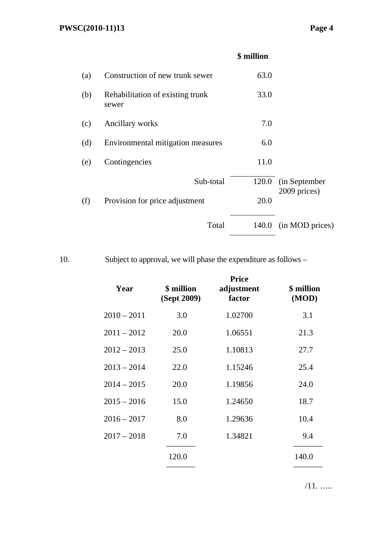## **\$ million**

| (a) | Construction of new trunk sewer           | 63.0  |                     |
|-----|-------------------------------------------|-------|---------------------|
| (b) | Rehabilitation of existing trunk<br>sewer | 33.0  |                     |
| (c) | Ancillary works                           | 7.0   |                     |
| (d) | Environmental mitigation measures         | 6.0   |                     |
| (e) | Contingencies                             | 11.0  |                     |
|     | Sub-total                                 |       | 120.0 (in September |
| (f) | Provision for price adjustment            | 20.0  | 2009 prices)        |
|     | Total                                     | 140.0 | (in MOD prices)     |

10. Subject to approval, we will phase the expenditure as follows –

| Year          | \$ million<br>(Sept 2009) | <b>Price</b><br>adjustment<br>factor | \$ million<br>(MOD) |
|---------------|---------------------------|--------------------------------------|---------------------|
| $2010 - 2011$ | 3.0                       | 1.02700                              | 3.1                 |
| $2011 - 2012$ | 20.0                      | 1.06551                              | 21.3                |
| $2012 - 2013$ | 25.0                      | 1.10813                              | 27.7                |
| $2013 - 2014$ | 22.0                      | 1.15246                              | 25.4                |
| $2014 - 2015$ | 20.0                      | 1.19856                              | 24.0                |
| $2015 - 2016$ | 15.0                      | 1.24650                              | 18.7                |
| $2016 - 2017$ | 8.0                       | 1.29636                              | 10.4                |
| $2017 - 2018$ | 7.0                       | 1.34821                              | 9.4                 |
|               | 120.0                     |                                      | 140.0               |

/11. …..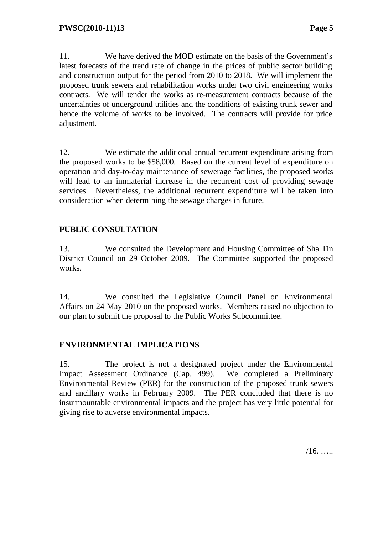11. We have derived the MOD estimate on the basis of the Government's latest forecasts of the trend rate of change in the prices of public sector building and construction output for the period from 2010 to 2018. We will implement the proposed trunk sewers and rehabilitation works under two civil engineering works contracts. We will tender the works as re-measurement contracts because of the uncertainties of underground utilities and the conditions of existing trunk sewer and hence the volume of works to be involved. The contracts will provide for price adjustment.

12. We estimate the additional annual recurrent expenditure arising from the proposed works to be \$58,000. Based on the current level of expenditure on operation and day-to-day maintenance of sewerage facilities, the proposed works will lead to an immaterial increase in the recurrent cost of providing sewage services. Nevertheless, the additional recurrent expenditure will be taken into consideration when determining the sewage charges in future.

## **PUBLIC CONSULTATION**

13. We consulted the Development and Housing Committee of Sha Tin District Council on 29 October 2009. The Committee supported the proposed works.

14. We consulted the Legislative Council Panel on Environmental Affairs on 24 May 2010 on the proposed works. Members raised no objection to our plan to submit the proposal to the Public Works Subcommittee.

## **ENVIRONMENTAL IMPLICATIONS**

15. The project is not a designated project under the Environmental Impact Assessment Ordinance (Cap. 499). We completed a Preliminary Environmental Review (PER) for the construction of the proposed trunk sewers and ancillary works in February 2009. The PER concluded that there is no insurmountable environmental impacts and the project has very little potential for giving rise to adverse environmental impacts.

 $/16.$  …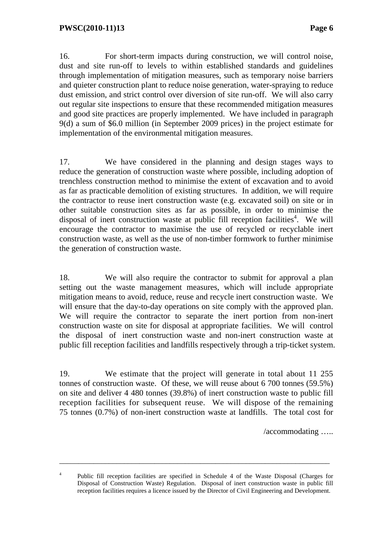16. For short-term impacts during construction, we will control noise, dust and site run-off to levels to within established standards and guidelines through implementation of mitigation measures, such as temporary noise barriers and quieter construction plant to reduce noise generation, water-spraying to reduce dust emission, and strict control over diversion of site run-off. We will also carry out regular site inspections to ensure that these recommended mitigation measures and good site practices are properly implemented. We have included in paragraph 9(d) a sum of \$6.0 million (in September 2009 prices) in the project estimate for implementation of the environmental mitigation measures.

17. We have considered in the planning and design stages ways to reduce the generation of construction waste where possible, including adoption of trenchless construction method to minimise the extent of excavation and to avoid as far as practicable demolition of existing structures. In addition, we will require the contractor to reuse inert construction waste (e.g. excavated soil) on site or in other suitable construction sites as far as possible, in order to minimise the disposal of inert construction waste at public fill reception facilities<sup>4</sup>. We will encourage the contractor to maximise the use of recycled or recyclable inert construction waste, as well as the use of non-timber formwork to further minimise the generation of construction waste.

18. We will also require the contractor to submit for approval a plan setting out the waste management measures, which will include appropriate mitigation means to avoid, reduce, reuse and recycle inert construction waste. We will ensure that the day-to-day operations on site comply with the approved plan. We will require the contractor to separate the inert portion from non-inert construction waste on site for disposal at appropriate facilities. We will control the disposal of inert construction waste and non-inert construction waste at public fill reception facilities and landfills respectively through a trip-ticket system.

19. We estimate that the project will generate in total about 11 255 tonnes of construction waste. Of these, we will reuse about 6 700 tonnes (59.5%) on site and deliver 4 480 tonnes (39.8%) of inert construction waste to public fill reception facilities for subsequent reuse. We will dispose of the remaining 75 tonnes (0.7%) of non-inert construction waste at landfills. The total cost for

/accommodating …..

4 Public fill reception facilities are specified in Schedule 4 of the Waste Disposal (Charges for Disposal of Construction Waste) Regulation. Disposal of inert construction waste in public fill reception facilities requires a licence issued by the Director of Civil Engineering and Development.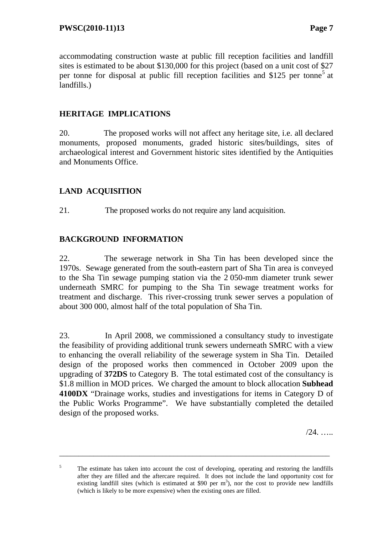accommodating construction waste at public fill reception facilities and landfill sites is estimated to be about \$130,000 for this project (based on a unit cost of \$27 per tonne for disposal at public fill reception facilities and \$125 per tonne<sup>5</sup> at landfills.)

## **HERITAGE IMPLICATIONS**

20. The proposed works will not affect any heritage site, i.e. all declared monuments, proposed monuments, graded historic sites/buildings, sites of archaeological interest and Government historic sites identified by the Antiquities and Monuments Office.

## **LAND ACQUISITION**

21. The proposed works do not require any land acquisition.

#### **BACKGROUND INFORMATION**

22. The sewerage network in Sha Tin has been developed since the 1970s. Sewage generated from the south-eastern part of Sha Tin area is conveyed to the Sha Tin sewage pumping station via the 2 050-mm diameter trunk sewer underneath SMRC for pumping to the Sha Tin sewage treatment works for treatment and discharge. This river-crossing trunk sewer serves a population of about 300 000, almost half of the total population of Sha Tin.

23. In April 2008, we commissioned a consultancy study to investigate the feasibility of providing additional trunk sewers underneath SMRC with a view to enhancing the overall reliability of the sewerage system in Sha Tin. Detailed design of the proposed works then commenced in October 2009 upon the upgrading of **372DS** to Category B. The total estimated cost of the consultancy is \$1.8 million in MOD prices. We charged the amount to block allocation **Subhead 4100DX** "Drainage works, studies and investigations for items in Category D of the Public Works Programme". We have substantially completed the detailed design of the proposed works.

 $/24$ . ….

<sup>5</sup> The estimate has taken into account the cost of developing, operating and restoring the landfills after they are filled and the aftercare required. It does not include the land opportunity cost for existing landfill sites (which is estimated at \$90 per  $m<sup>3</sup>$ ), nor the cost to provide new landfills (which is likely to be more expensive) when the existing ones are filled.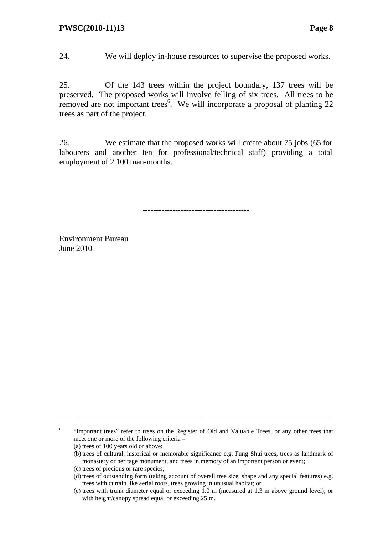24. We will deploy in-house resources to supervise the proposed works.

25. Of the 143 trees within the project boundary, 137 trees will be preserved. The proposed works will involve felling of six trees. All trees to be removed are not important trees<sup>6</sup>. We will incorporate a proposal of planting 22 trees as part of the project.

26. We estimate that the proposed works will create about 75 jobs (65 for labourers and another ten for professional/technical staff) providing a total employment of 2 100 man-months.

---------------------------------------

Environment Bureau June 2010

<sup>6</sup> "Important trees" refer to trees on the Register of Old and Valuable Trees, or any other trees that meet one or more of the following criteria –

- (a) trees of 100 years old or above;
- (b) trees of cultural, historical or memorable significance e.g. Fung Shui trees, trees as landmark of monastery or heritage monument, and trees in memory of an important person or event;
- (c) trees of precious or rare species;
- (d) trees of outstanding form (taking account of overall tree size, shape and any special features) e.g. trees with curtain like aerial roots, trees growing in unusual habitat; or
- (e) trees with trunk diameter equal or exceeding 1.0 m (measured at 1.3 m above ground level), or with height/canopy spread equal or exceeding 25 m.